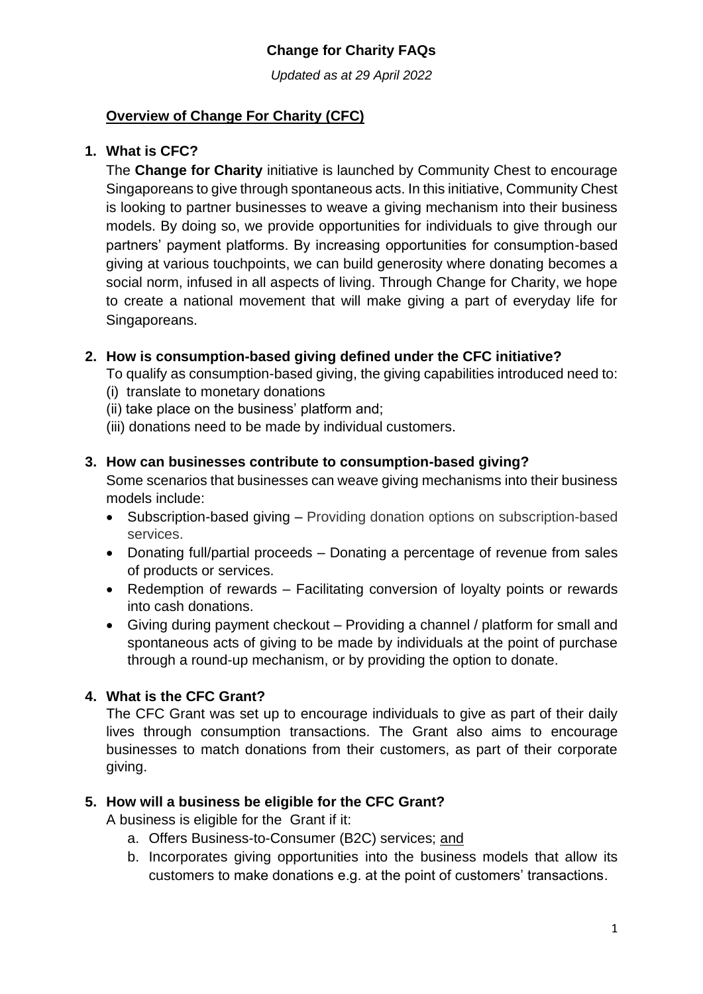*Updated as at 29 April 2022*

# **Overview of Change For Charity (CFC)**

### **1. What is CFC?**

The **Change for Charity** initiative is launched by Community Chest to encourage Singaporeans to give through spontaneous acts. In this initiative, Community Chest is looking to partner businesses to weave a giving mechanism into their business models. By doing so, we provide opportunities for individuals to give through our partners' payment platforms. By increasing opportunities for consumption-based giving at various touchpoints, we can build generosity where donating becomes a social norm, infused in all aspects of living. Through Change for Charity, we hope to create a national movement that will make giving a part of everyday life for Singaporeans.

## **2. How is consumption-based giving defined under the CFC initiative?**

To qualify as consumption-based giving, the giving capabilities introduced need to:

- (i) translate to monetary donations
- (ii) take place on the business' platform and;
- (iii) donations need to be made by individual customers.

#### **3. How can businesses contribute to consumption-based giving?**

Some scenarios that businesses can weave giving mechanisms into their business models include:

- Subscription-based giving Providing donation options on subscription-based services.
- Donating full/partial proceeds Donating a percentage of revenue from sales of products or services.
- Redemption of rewards Facilitating conversion of loyalty points or rewards into cash donations.
- Giving during payment checkout Providing a channel / platform for small and spontaneous acts of giving to be made by individuals at the point of purchase through a round-up mechanism, or by providing the option to donate.

# **4. What is the CFC Grant?**

The CFC Grant was set up to encourage individuals to give as part of their daily lives through consumption transactions. The Grant also aims to encourage businesses to match donations from their customers, as part of their corporate giving.

# **5. How will a business be eligible for the CFC Grant?**

A business is eligible for the Grant if it:

- a. Offers Business-to-Consumer (B2C) services; and
- b. Incorporates giving opportunities into the business models that allow its customers to make donations e.g. at the point of customers' transactions.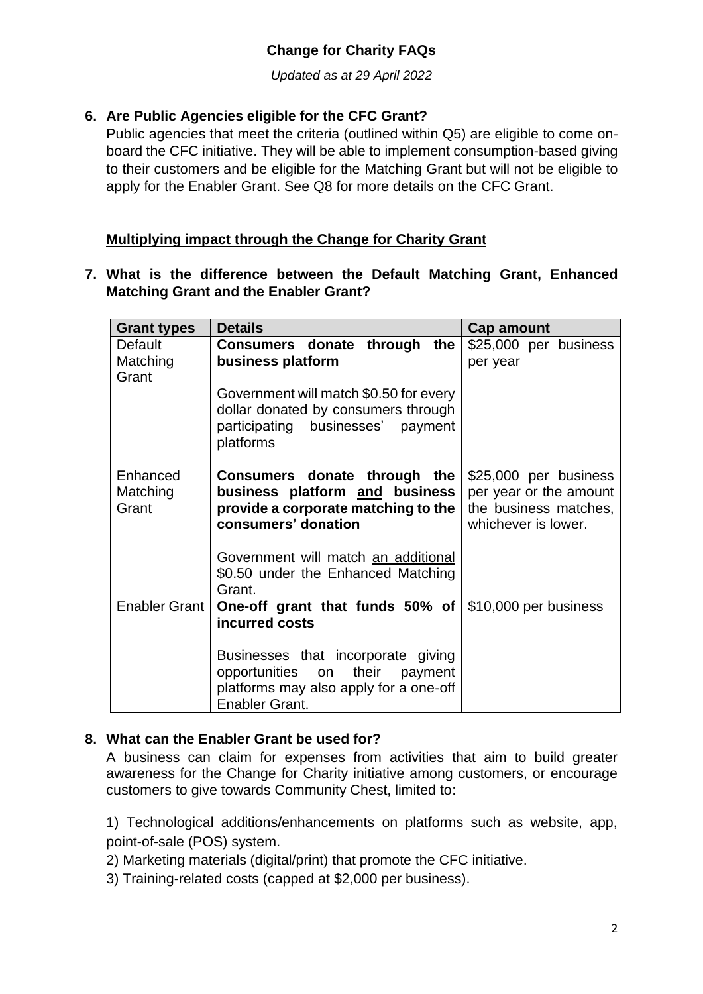*Updated as at 29 April 2022*

## **6. Are Public Agencies eligible for the CFC Grant?**

Public agencies that meet the criteria (outlined within Q5) are eligible to come onboard the CFC initiative. They will be able to implement consumption-based giving to their customers and be eligible for the Matching Grant but will not be eligible to apply for the Enabler Grant. See Q8 for more details on the CFC Grant.

### **Multiplying impact through the Change for Charity Grant**

**7. What is the difference between the Default Matching Grant, Enhanced Matching Grant and the Enabler Grant?**

| <b>Grant types</b>                  | <b>Details</b>                                                                                                                                                                                                                  | Cap amount                        |
|-------------------------------------|---------------------------------------------------------------------------------------------------------------------------------------------------------------------------------------------------------------------------------|-----------------------------------|
| <b>Default</b><br>Matching<br>Grant | Consumers donate through the<br>business platform                                                                                                                                                                               | \$25,000 per business<br>per year |
|                                     | Government will match \$0.50 for every<br>dollar donated by consumers through<br>participating businesses' payment<br>platforms                                                                                                 |                                   |
| Enhanced<br>Matching<br>Grant       | Consumers donate through the<br>\$25,000 per business<br>business platform and business<br>per year or the amount<br>provide a corporate matching to the<br>the business matches,<br>consumers' donation<br>whichever is lower. |                                   |
|                                     | Government will match an additional<br>\$0.50 under the Enhanced Matching<br>Grant.                                                                                                                                             |                                   |
| Enabler Grant                       | One-off grant that funds 50% of<br>incurred costs                                                                                                                                                                               | \$10,000 per business             |
|                                     | Businesses that incorporate giving<br>their payment<br>opportunities on<br>platforms may also apply for a one-off<br>Enabler Grant.                                                                                             |                                   |

#### **8. What can the Enabler Grant be used for?**

A business can claim for expenses from activities that aim to build greater awareness for the Change for Charity initiative among customers, or encourage customers to give towards Community Chest, limited to:

1) Technological additions/enhancements on platforms such as website, app, point-of-sale (POS) system.

2) Marketing materials (digital/print) that promote the CFC initiative.

3) Training-related costs (capped at \$2,000 per business).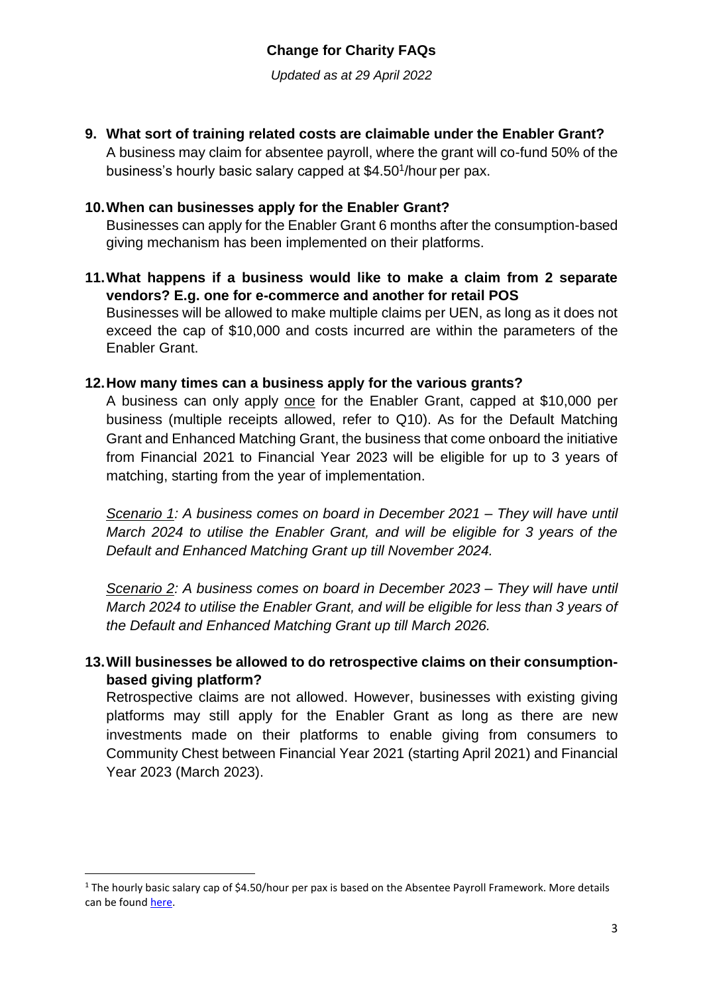*Updated as at 29 April 2022*

**9. What sort of training related costs are claimable under the Enabler Grant?**

A business may claim for absentee payroll, where the grant will co-fund 50% of the business's hourly basic salary capped at \$4.50<sup>1</sup>/hour per pax.

### **10.When can businesses apply for the Enabler Grant?**

Businesses can apply for the Enabler Grant 6 months after the consumption-based giving mechanism has been implemented on their platforms.

**11.What happens if a business would like to make a claim from 2 separate vendors? E.g. one for e-commerce and another for retail POS** Businesses will be allowed to make multiple claims per UEN, as long as it does not exceed the cap of \$10,000 and costs incurred are within the parameters of the Enabler Grant.

#### **12.How many times can a business apply for the various grants?**

A business can only apply once for the Enabler Grant, capped at \$10,000 per business (multiple receipts allowed, refer to Q10). As for the Default Matching Grant and Enhanced Matching Grant, the business that come onboard the initiative from Financial 2021 to Financial Year 2023 will be eligible for up to 3 years of matching, starting from the year of implementation.

*Scenario 1: A business comes on board in December 2021 – They will have until March 2024 to utilise the Enabler Grant, and will be eligible for 3 years of the Default and Enhanced Matching Grant up till November 2024.*

*Scenario 2: A business comes on board in December 2023 – They will have until March 2024 to utilise the Enabler Grant, and will be eligible for less than 3 years of the Default and Enhanced Matching Grant up till March 2026.*

**13.Will businesses be allowed to do retrospective claims on their consumptionbased giving platform?**

Retrospective claims are not allowed. However, businesses with existing giving platforms may still apply for the Enabler Grant as long as there are new investments made on their platforms to enable giving from consumers to Community Chest between Financial Year 2021 (starting April 2021) and Financial Year 2023 (March 2023).

 $1$  The hourly basic salary cap of \$4.50/hour per pax is based on the Absentee Payroll Framework. More details can be foun[d here.](https://www.ssg.gov.sg/content/programmes-and-initiatives/funding-funding-for-employer-based-training/course-fee-funding-table-for-employers.pdf)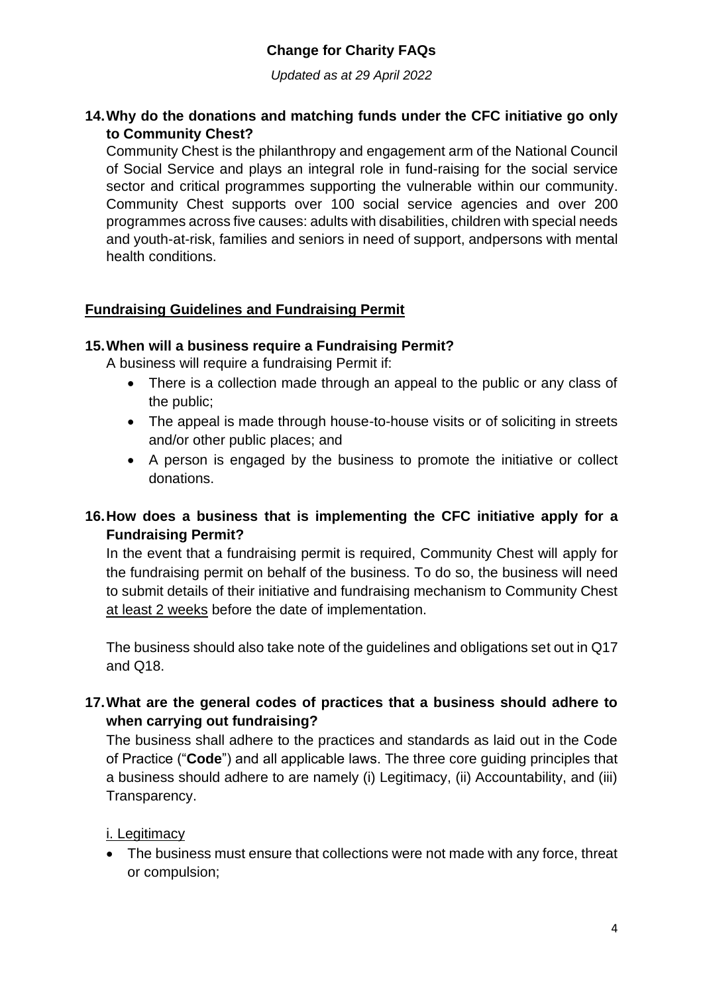*Updated as at 29 April 2022*

#### **14.Why do the donations and matching funds under the CFC initiative go only to Community Chest?**

Community Chest is the philanthropy and engagement arm of the National Council of Social Service and plays an integral role in fund-raising for the social service sector and critical programmes supporting the vulnerable within our community. Community Chest supports over 100 social service agencies and over 200 programmes across five causes: adults with disabilities, children with special needs and youth-at-risk, families and seniors in need of support, andpersons with mental health conditions.

## **Fundraising Guidelines and Fundraising Permit**

#### **15.When will a business require a Fundraising Permit?**

A business will require a fundraising Permit if:

- There is a collection made through an appeal to the public or any class of the public;
- The appeal is made through house-to-house visits or of soliciting in streets and/or other public places; and
- A person is engaged by the business to promote the initiative or collect donations.

## **16.How does a business that is implementing the CFC initiative apply for a Fundraising Permit?**

In the event that a fundraising permit is required, Community Chest will apply for the fundraising permit on behalf of the business. To do so, the business will need to submit details of their initiative and fundraising mechanism to Community Chest at least 2 weeks before the date of implementation.

The business should also take note of the guidelines and obligations set out in Q17 and Q18.

## **17.What are the general codes of practices that a business should adhere to when carrying out fundraising?**

The business shall adhere to the practices and standards as laid out in the Code of Practice ("**Code**") and all applicable laws. The three core guiding principles that a business should adhere to are namely (i) Legitimacy, (ii) Accountability, and (iii) Transparency.

#### i. Legitimacy

• The business must ensure that collections were not made with any force, threat or compulsion;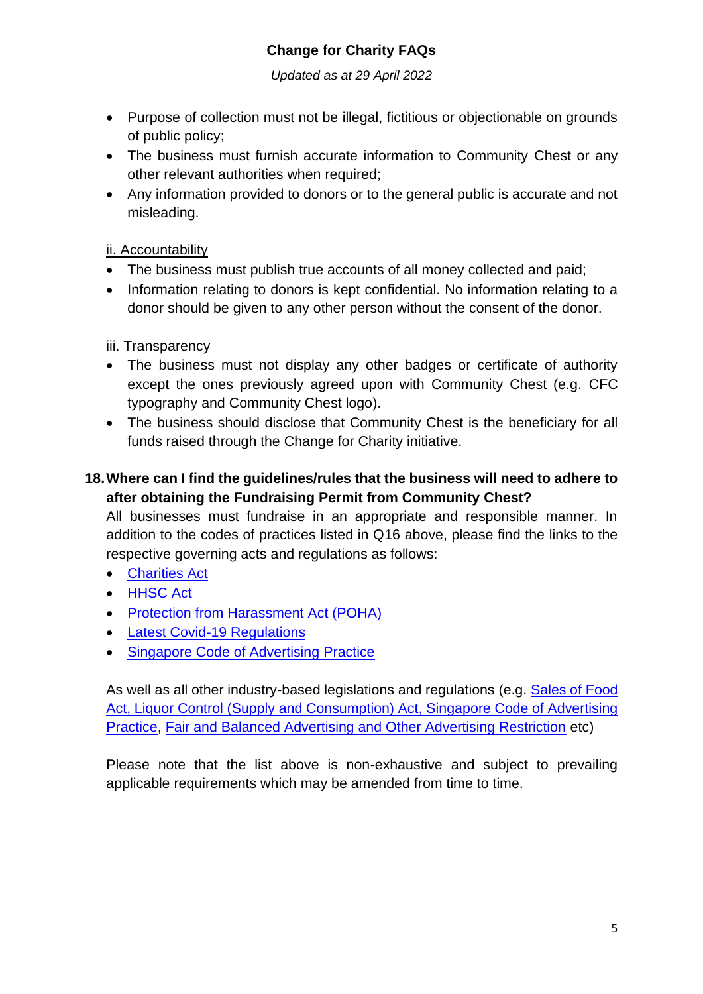*Updated as at 29 April 2022*

- Purpose of collection must not be illegal, fictitious or objectionable on grounds of public policy;
- The business must furnish accurate information to Community Chest or any other relevant authorities when required;
- Any information provided to donors or to the general public is accurate and not misleading.

## ii. Accountability

- The business must publish true accounts of all money collected and paid;
- Information relating to donors is kept confidential. No information relating to a donor should be given to any other person without the consent of the donor.

## iii. Transparency

- The business must not display any other badges or certificate of authority except the ones previously agreed upon with Community Chest (e.g. CFC typography and Community Chest logo).
- The business should disclose that Community Chest is the beneficiary for all funds raised through the Change for Charity initiative.

# **18.Where can I find the guidelines/rules that the business will need to adhere to after obtaining the Fundraising Permit from Community Chest?**

All businesses must fundraise in an appropriate and responsible manner. In addition to the codes of practices listed in Q16 above, please find the links to the respective governing acts and regulations as follows:

- [Charities Act](https://safe.menlosecurity.com/https:/sso.agc.gov.sg/Act/CA1994?ValidDate=20210102&ProvIds=P1VI-)
- [HHSC Act](https://safe.menlosecurity.com/https:/sso.agc.gov.sg/Act/HHSCA1947)
- [Protection from Harassment Act \(POHA\)](https://safe.menlosecurity.com/https:/sso.agc.gov.sg/Act/PHA2014?ProvIds=pr3-)
- [Latest Covid-19 Regulations](https://safe.menlosecurity.com/https:/www.moh.gov.sg/covid-19-phase-advisory)
- [Singapore Code of Advertising Practice](https://safe.menlosecurity.com/https:/asas.org.sg/About/Code)

As well as all other industry-based legislations and regulations (e.g. [Sales of Food](https://safe.menlosecurity.com/https:/sso.agc.gov.sg/Act/SFA1973)  [Act,](https://safe.menlosecurity.com/https:/sso.agc.gov.sg/Act/SFA1973) [Liquor Control \(Supply and Consumption\) Act,](https://safe.menlosecurity.com/https:/sso.agc.gov.sg/Act/LCSCA2015) [Singapore Code of Advertising](https://asas.org.sg/About/Code)  [Practice,](https://asas.org.sg/About/Code) [Fair and Balanced Advertising and Other Advertising Restriction](https://www.mas.gov.sg/regulation/faqs/faqs-on-fair-and-balanced-advertising-and-other-advertising-restrictions) etc)

Please note that the list above is non-exhaustive and subject to prevailing applicable requirements which may be amended from time to time.